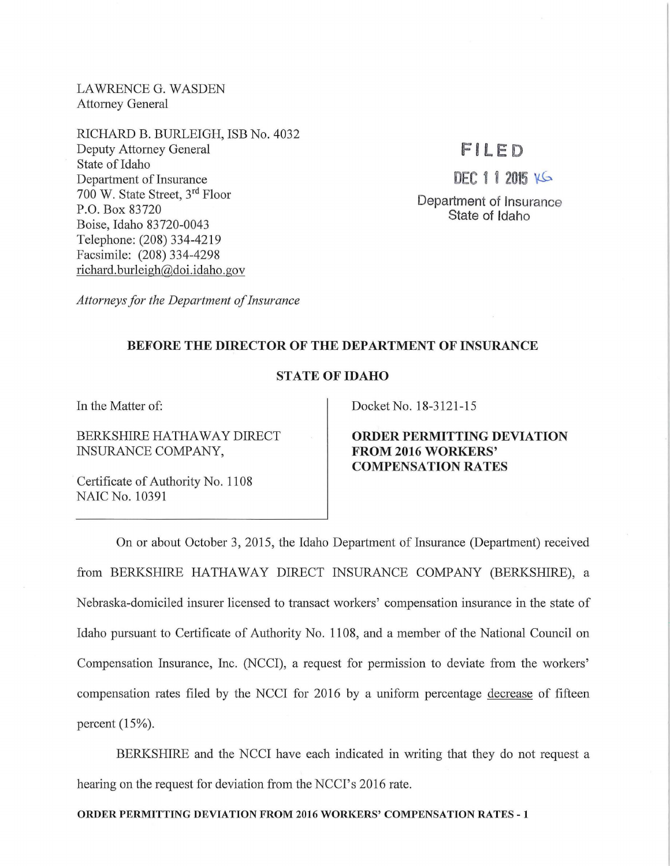LAWRENCE G. WASDEN Attorney General

RICHARD B. BURLEIGH, ISB No. 4032 Deputy Attorney General State of Idaho Department of Insurance 700 W. State Street, 3rd Floor P.O. Box 83720 Boise, Idaho 83720-0043 Telephone: (208) 334-4219 Facsimile: (208) 334-4298 richard. burleigh@doi. idaho. gov

# FILED

 $DEC 11 2015 16$ 

Department of Insurance State of Idaho

*Attorneys for the Department of Insurance* 

## BEFORE THE DIRECTOR OF THE DEPARTMENT OF INSURANCE

## STATE OF IDAHO

In the Matter of:

BERKSHIRE HATHAWAY DIRECT INSURANCE COMPANY,

Certificate of Authority No. 1108 NAIC No. 10391

Docket No. 18-3121-15

ORDER PERMITTING DEVIATION FROM 2016 WORKERS' **COMPENSATION RATES** 

On or about October 3, 2015, the Idaho Department of Insurance (Department) received from BERKSHIRE HATHAWAY DIRECT INSURANCE COMPANY (BERKSHIRE), a Nebraska-domiciled insurer licensed to transact workers' compensation insurance in the state of Idaho pursuant to Certificate of Authority No. 1108, and a member of the National Council on Compensation Insurance, Inc. (NCCI), a request for permission to deviate from the workers' compensation rates filed by the NCCI for 2016 by a uniform percentage decrease of fifteen percent (15%).

BERKSHIRE and the NCCI have each indicated in writing that they do not request a hearing on the request for deviation from the NCCI's 2016 rate.

### ORDER PERMITTING DEVIATION FROM 2016 WORKERS' COMPENSATION RATES -1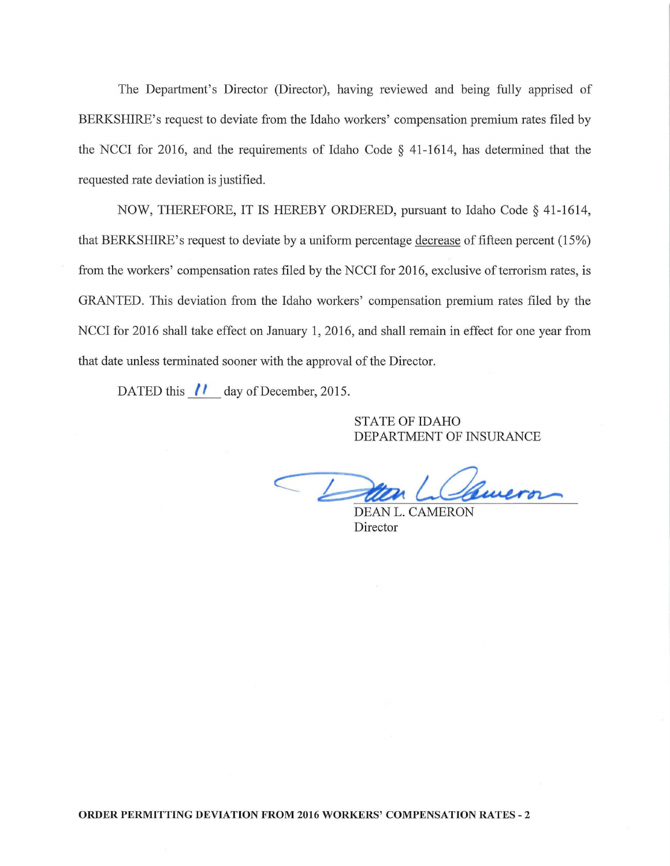The Department's Director (Director), having reviewed and being fully apprised of BERKSHIRE's request to deviate from the Idaho workers' compensation premium rates filed by the NCCI for 2016, and the requirements of Idaho Code  $\S$  41-1614, has determined that the requested rate deviation is justified.

NOW, THEREFORE, IT IS HEREBY ORDERED, pursuant to Idaho Code§ 41-1614, that BERKSHIRE's request to deviate by a uniform percentage decrease of fifteen percent (15%) from the workers' compensation rates filed by the NCCI for 2016, exclusive of terrorism rates, is GRANTED. This deviation from the Idaho workers' compensation premium rates filed by the NCCI for 2016 shall take effect on January **1,** 2016, and shall remain in effect for one year from that date unless terminated sooner with the approval of the Director.

DATED this  $\parallel$  day of December, 2015.

STATE OF IDAHO DEPARTMENT OF INSURANCE

CE

DEAN L. CAMERON Director